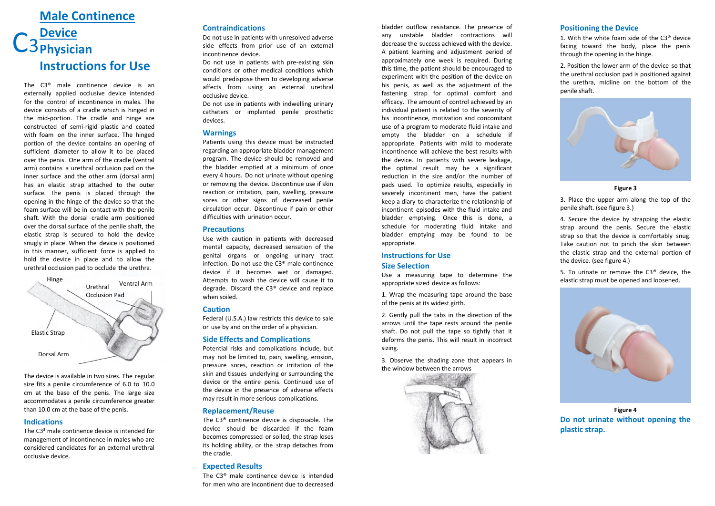# **Male Continence Device** C<sub>3</sub> Physician **Instructions for Use**

The C3 ® male continence device is an externally applied occlusive device intended for the control of incontinence in males. The device consists of a cradle which is hinged in the mid -portion. The cradle and hinge are constructed of semi -rigid plastic and coated with foam on the inner surface. The hinged portion of the device contains an opening of sufficient diameter to allow it to be placed over the penis. One arm of the cradle (ventral arm) contains a urethral occlusion pad on the inner surface and the other arm (dorsal arm) has an elastic strap attached to the outer surface. The penis is placed through the opening in the hinge of the device so that the foam surface will be in contact with the penile shaft. With the dorsal cradle arm positioned over the dorsal surface of the penile shaft, the elastic strap is secured to hold the device snugly in place. When the device is positioned in this manner, sufficient force is applied to hold the device in place and to allow the urethral occlusion pad to occlude the urethra .



The device is available in two sizes. The regular size fits a penile circumference of 6.0 to 10.0 cm at the base of the penis. The large size accommodates a penile circumference greater than 10.0 cm at the base of the penis.

#### **Indications**

The C3 ³ male continence device is intended for management of incontinence in males who are considered candidates for an external urethral occlusive device.

## **Contraindications**

Do not use in patients with unresolved adverse side effects from prior use of an external incontinence device.

Do not use in patients with pre -existing skin conditions or other medical conditions which would predispose them to developing adverse affects from using an external urethral occlusive device.

Do not use in patients with indwelling urinary catheters or implanted penile prosthetic devices.

### **Warnings**

Patients using this device must be instructed regarding an appropriate bladder management program. The device should be removed and the bladder emptied at a minimum of once every 4 hours. Do not urinate without opening or removing the device. Discontinue use if skin reaction or irritation, pain, swelling, pressure sores or other signs of decreased penile circulation occur. Discontinue if pain or other difficulties with urination occur.

### **Precautions**

Use with caution in patients with decreased mental capacity, decreased sensation of the genital organs or ongoing urinary tract infection. Do not use the C3 ® male continence device if it becomes wet or damaged. Attempts to wash the device will cause it to degrade. Discard the C3 ® device and replace when soiled.

### **Caution**

Federal (U.S.A.) law restricts this device to sale or use by and on the order of a physician.

### **Side Effects and Complications**

Potential risks and complications include, but may not be limited to, pain, swelling, erosion, pressure sores, reaction or irritation of the skin and tissues underlying or surrounding the device or the entire penis. Continued use of the device in the presence of adverse effects may result in more serious complications.

### **Replacement/Reuse**

The C3 ® continence device is disposable. The device should be discarded if the foam becomes compressed or soiled, the strap loses its holding ability, or the strap detaches from the cradle.

# **Expected Results**

The C3 ® male continence device is intended for men who are incontinent due to decreased

bladder outflow resistance. The presence of any unstable bladder contractions will decrease the success achieved with the device. A patient learning and adjustment period of approximately one week is required. During this time, the patient should be encouraged to experiment with the position of the device on his penis, as well as the adjustment of the fastening strap for optimal comfort and efficacy. The amount of control achieved by an individual patient is related to the severity of his incontinence, motivation and concomitant use of a program to moderate fluid intake and empty the bladder on a schedule if appropriate. Patients with mild to moderate incontinence will achieve the best results with the device. In patients with severe leakage, the optimal result may be a significant reduction in the size and/or the number of pads used. To optimize results, especially in severely incontinent men, have the patient keep a diary to characterize the relationship of incontinent episodes with the fluid intake and bladder emptying. Once this is done, a schedule for moderating fluid intake and bladder emptying may be found to be appropriate.

# **Instructions for Use**

# **Size Selection**

Use a measuring tape to determine the appropriate sized device as follows:

1. Wrap the measuring tape around the base of the penis at its widest girth .

2. Gently pull the tabs in the direction of the arrows until the tape rests around the penile shaft. Do not pull the tape so tightly that it deforms the penis. This will result in incorrect sizing.

3. Observe the shading zone that appears in the window between the arrows



# **Positioning the Device**

1. With the white foam side of the C3 ® device facing toward the body, place the penis through the opening in the hinge.

2. Position the lower arm of the device so that the urethral occlusion pad is positioned against the urethra, midline on the bottom of the penile shaft.



**Figure 3**

3. Place the upper arm along the top of the penile shaft. (see figure 3.)

4. Secure the device by strapping the elastic strap around the penis. Secure the elastic strap so that the device is comfortably snug. Take caution not to pinch the skin between the elastic strap and the external portion of the device. (see figure 4.)

5. To urinate or remove the C3 ® device, the elastic strap must be opened and loosened.



**Figure 4 Do not urinate without opening the plastic strap.**